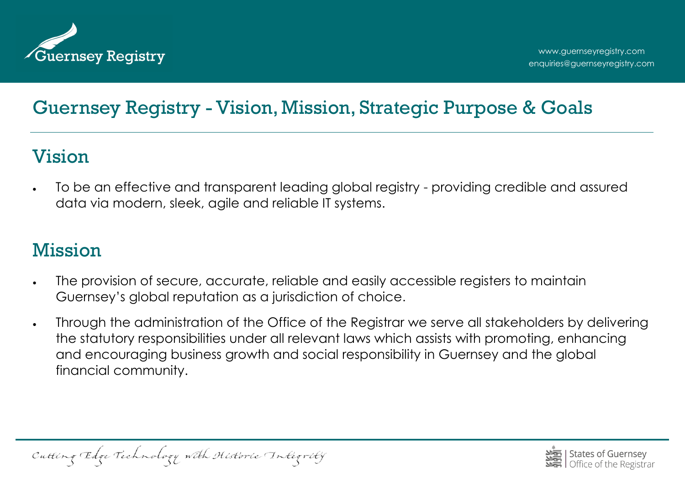

# Guernsey Registry - Vision, Mission, Strategic Purpose & Goals

### Vision

 To be an effective and transparent leading global registry - providing credible and assured data via modern, sleek, agile and reliable IT systems.

# Mission

- The provision of secure, accurate, reliable and easily accessible registers to maintain Guernsey's global reputation as a jurisdiction of choice.
- Through the administration of the Office of the Registrar we serve all stakeholders by delivering the statutory responsibilities under all relevant laws which assists with promoting, enhancing and encouraging business growth and social responsibility in Guernsey and the global financial community.

Cutting Edge Technology with Historic Integrity

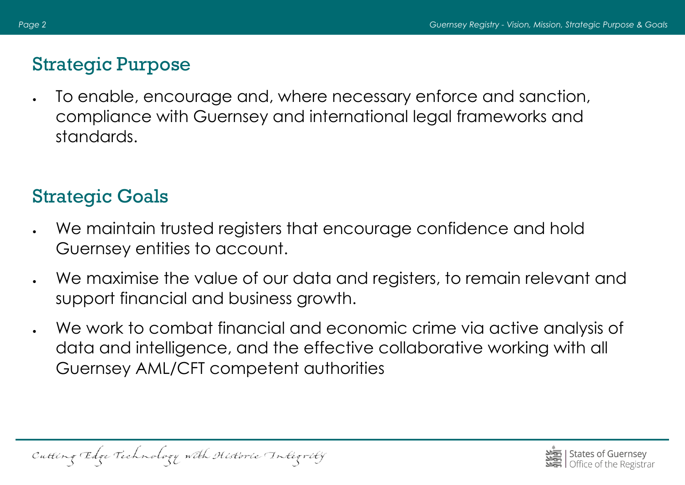## Strategic Purpose

 To enable, encourage and, where necessary enforce and sanction, compliance with Guernsey and international legal frameworks and standards.

# Strategic Goals

- We maintain trusted registers that encourage confidence and hold Guernsey entities to account.
- We maximise the value of our data and registers, to remain relevant and support financial and business growth.
- We work to combat financial and economic crime via active analysis of data and intelligence, and the effective collaborative working with all Guernsey AML/CFT competent authorities

Cutting Edge Technology with Historic Integrity